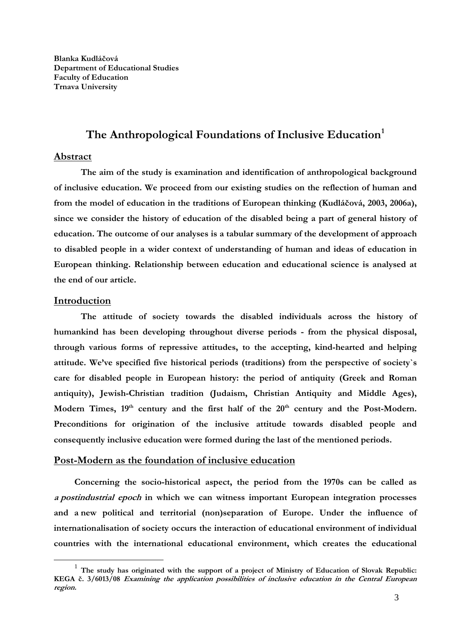## The Anthropological Foundations of Inclusive Education<sup>1</sup>

#### **Abstract**

**The aim of the study is examination and identification of anthropological background of inclusive education. We proceed from our existing studies on the reflection of human and from the model of education in the traditions of European thinking (Kudláčová, 2003, 2006a), since we consider the history of education of the disabled being a part of general history of education. The outcome of our analyses is a tabular summary of the development of approach to disabled people in a wider context of understanding of human and ideas of education in European thinking. Relationship between education and educational science is analysed at the end of our article.** 

#### **Introduction**

**The attitude of society towards the disabled individuals across the history of humankind has been developing throughout diverse periods - from the physical disposal, through various forms of repressive attitudes, to the accepting, kind-hearted and helping attitude. We've specified five historical periods (traditions) from the perspective of society`s care for disabled people in European history: the period of antiquity (Greek and Roman antiquity), Jewish-Christian tradition (Judaism, Christian Antiquity and Middle Ages),**  Modern Times, 19<sup>th</sup> century and the first half of the 20<sup>th</sup> century and the Post-Modern. **Preconditions for origination of the inclusive attitude towards disabled people and consequently inclusive education were formed during the last of the mentioned periods.** 

#### **Post-Modern as the foundation of inclusive education**

**Concerning the socio-historical aspect, the period from the 1970s can be called as <sup>a</sup> postindustrial epoch in which we can witness important European integration processes and a new political and territorial (non)separation of Europe. Under the influence of internationalisation of society occurs the interaction of educational environment of individual countries with the international educational environment, which creates the educational** 

<sup>&</sup>lt;sup>1</sup> The study has originated with the support of a project of Ministry of Education of Slovak Republic: **KEGA č. 3/6013/08 Examining the application possibilities of inclusive education in the Central European region.**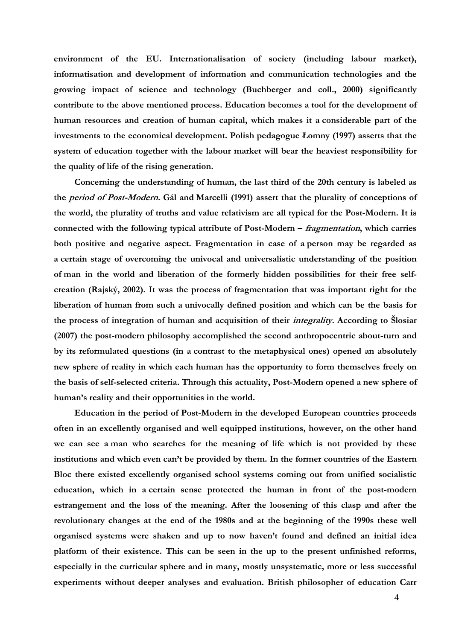**environment of the EU. Internationalisation of society (including labour market), informatisation and development of information and communication technologies and the growing impact of science and technology (Buchberger and coll., 2000) significantly contribute to the above mentioned process. Education becomes a tool for the development of human resources and creation of human capital, which makes it a considerable part of the investments to the economical development. Polish pedagogue Łomny (1997) asserts that the system of education together with the labour market will bear the heaviest responsibility for the quality of life of the rising generation.** 

**Concerning the understanding of human, the last third of the 20th century is labeled as the period of Post-Modern. Gál and Marcelli (1991) assert that the plurality of conceptions of the world, the plurality of truths and value relativism are all typical for the Post-Modern. It is connected with the following typical attribute of Post-Modern – fragmentation, which carries both positive and negative aspect. Fragmentation in case of a person may be regarded as a certain stage of overcoming the univocal and universalistic understanding of the position of man in the world and liberation of the formerly hidden possibilities for their free selfcreation (Rajský, 2002). It was the process of fragmentation that was important right for the liberation of human from such a univocally defined position and which can be the basis for the process of integration of human and acquisition of their integrality. According to Šlosiar (2007) the post-modern philosophy accomplished the second anthropocentric about-turn and by its reformulated questions (in a contrast to the metaphysical ones) opened an absolutely new sphere of reality in which each human has the opportunity to form themselves freely on the basis of self-selected criteria. Through this actuality, Post-Modern opened a new sphere of human's reality and their opportunities in the world.** 

**Education in the period of Post-Modern in the developed European countries proceeds often in an excellently organised and well equipped institutions, however, on the other hand we can see a man who searches for the meaning of life which is not provided by these institutions and which even can't be provided by them. In the former countries of the Eastern Bloc there existed excellently organised school systems coming out from unified socialistic education, which in a certain sense protected the human in front of the post-modern estrangement and the loss of the meaning. After the loosening of this clasp and after the revolutionary changes at the end of the 1980s and at the beginning of the 1990s these well organised systems were shaken and up to now haven't found and defined an initial idea platform of their existence. This can be seen in the up to the present unfinished reforms, especially in the curricular sphere and in many, mostly unsystematic, more or less successful experiments without deeper analyses and evaluation. British philosopher of education Carr**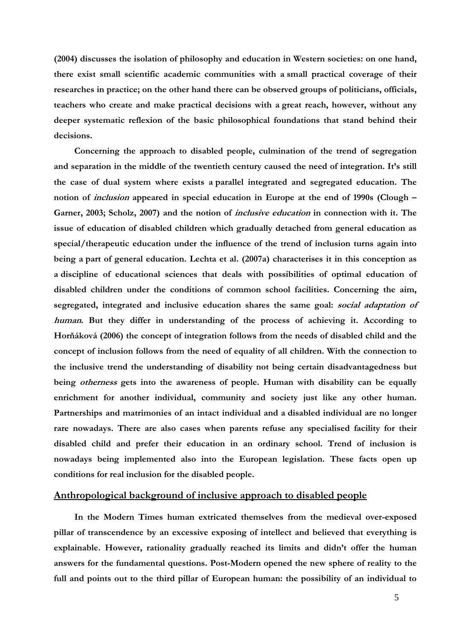**(2004) discusses the isolation of philosophy and education in Western societies: on one hand, there exist small scientific academic communities with a small practical coverage of their researches in practice; on the other hand there can be observed groups of politicians, officials, teachers who create and make practical decisions with a great reach, however, without any deeper systematic reflexion of the basic philosophical foundations that stand behind their decisions.** 

**Concerning the approach to disabled people, culmination of the trend of segregation and separation in the middle of the twentieth century caused the need of integration. It's still the case of dual system where exists a parallel integrated and segregated education. The notion of inclusion appeared in special education in Europe at the end of 1990s (Clough – Garner, 2003; Scholz, 2007) and the notion of inclusive education in connection with it. The issue of education of disabled children which gradually detached from general education as special/therapeutic education under the influence of the trend of inclusion turns again into being a part of general education. Lechta et al. (2007a) characterises it in this conception as a discipline of educational sciences that deals with possibilities of optimal education of disabled children under the conditions of common school facilities. Concerning the aim, segregated, integrated and inclusive education shares the same goal: social adaptation of human. But they differ in understanding of the process of achieving it. According to Horňáková (2006) the concept of integration follows from the needs of disabled child and the concept of inclusion follows from the need of equality of all children. With the connection to the inclusive trend the understanding of disability not being certain disadvantagedness but being otherness gets into the awareness of people. Human with disability can be equally enrichment for another individual, community and society just like any other human. Partnerships and matrimonies of an intact individual and a disabled individual are no longer rare nowadays. There are also cases when parents refuse any specialised facility for their disabled child and prefer their education in an ordinary school. Trend of inclusion is nowadays being implemented also into the European legislation. These facts open up conditions for real inclusion for the disabled people.** 

#### **Anthropological background of inclusive approach to disabled people**

**In the Modern Times human extricated themselves from the medieval over-exposed pillar of transcendence by an excessive exposing of intellect and believed that everything is explainable. However, rationality gradually reached its limits and didn't offer the human answers for the fundamental questions. Post-Modern opened the new sphere of reality to the full and points out to the third pillar of European human: the possibility of an individual to**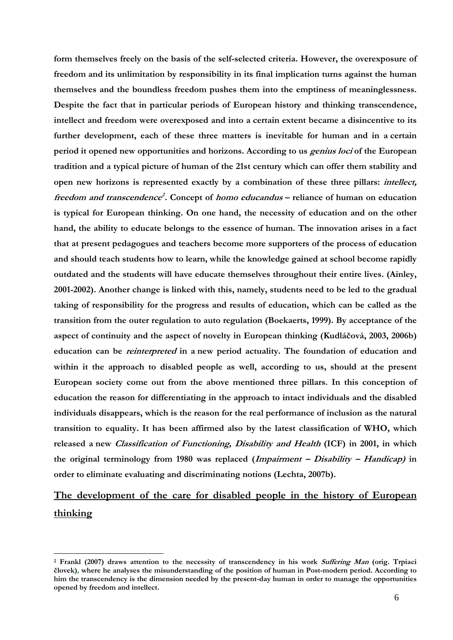**form themselves freely on the basis of the self-selected criteria. However, the overexposure of freedom and its unlimitation by responsibility in its final implication turns against the human themselves and the boundless freedom pushes them into the emptiness of meaninglessness. Despite the fact that in particular periods of European history and thinking transcendence, intellect and freedom were overexposed and into a certain extent became a disincentive to its further development, each of these three matters is inevitable for human and in a certain period it opened new opportunities and horizons. According to us genius loci of the European tradition and a typical picture of human of the 21st century which can offer them stability and open new horizons is represented exactly by a combination of these three pillars: intellect, freedom and transcendence<sup>2</sup> . Concept of homo educandus – reliance of human on education is typical for European thinking. On one hand, the necessity of education and on the other hand, the ability to educate belongs to the essence of human. The innovation arises in a fact that at present pedagogues and teachers become more supporters of the process of education and should teach students how to learn, while the knowledge gained at school become rapidly outdated and the students will have educate themselves throughout their entire lives. (Ainley, 2001-2002). Another change is linked with this, namely, students need to be led to the gradual taking of responsibility for the progress and results of education, which can be called as the transition from the outer regulation to auto regulation (Boekaerts, 1999). By acceptance of the aspect of continuity and the aspect of novelty in European thinking (Kudláčová, 2003, 2006b) education can be reinterpreted in a new period actuality. The foundation of education and within it the approach to disabled people as well, according to us, should at the present European society come out from the above mentioned three pillars. In this conception of education the reason for differentiating in the approach to intact individuals and the disabled individuals disappears, which is the reason for the real performance of inclusion as the natural transition to equality. It has been affirmed also by the latest classification of WHO, which released a new Classification of Functioning, Disability and Health (ICF) in 2001, in which the original terminology from 1980 was replaced (Impairment – Disability – Handicap) in order to eliminate evaluating and discriminating notions (Lechta, 2007b).** 

# **The development of the care for disabled people in the history of European thinking**

1

**<sup>2</sup> Frankl (2007) draws attention to the necessity of transcendency in his work Suffering Man (orig. Trpiaci človek), where he analyses the misunderstanding of the position of human in Post-modern period. According to him the transcendency is the dimension needed by the present-day human in order to manage the opportunities opened by freedom and intellect.**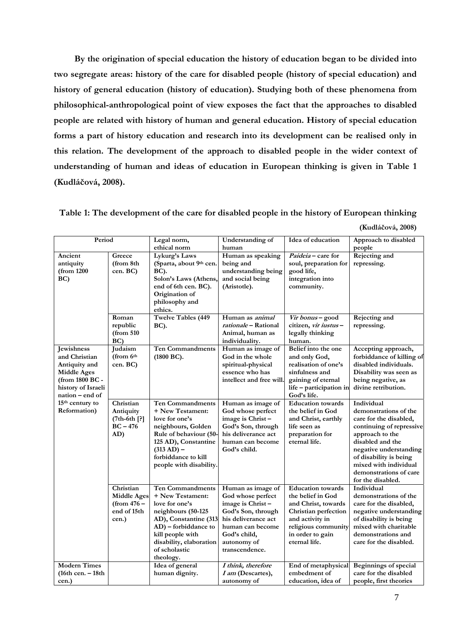**By the origination of special education the history of education began to be divided into two segregate areas: history of the care for disabled people (history of special education) and history of general education (history of education). Studying both of these phenomena from philosophical-anthropological point of view exposes the fact that the approaches to disabled people are related with history of human and general education. History of special education forms a part of history education and research into its development can be realised only in this relation. The development of the approach to disabled people in the wider context of understanding of human and ideas of education in European thinking is given in Table 1 (Kudláčová, 2008).** 

**Table 1: The development of the care for disabled people in the history of European thinking** 

| (Kudláčová, 2008) |  |  |  |
|-------------------|--|--|--|
|-------------------|--|--|--|

| Period                                                                                                                         |                                                                         | Legal norm,<br>ethical norm                                                                                                                                                                                       | Understanding of<br>human                                                                                                                                                    | Idea of education                                                                                                                                                           | Approach to disabled<br>people                                                                                                                                                                                                                               |
|--------------------------------------------------------------------------------------------------------------------------------|-------------------------------------------------------------------------|-------------------------------------------------------------------------------------------------------------------------------------------------------------------------------------------------------------------|------------------------------------------------------------------------------------------------------------------------------------------------------------------------------|-----------------------------------------------------------------------------------------------------------------------------------------------------------------------------|--------------------------------------------------------------------------------------------------------------------------------------------------------------------------------------------------------------------------------------------------------------|
| Ancient<br>antiquity<br>(from 1200)<br>BC)                                                                                     | Greece<br>(from 8th<br>cen. BC)                                         | Lykurg's Laws<br>(Sparta, about 9th cen.<br>BC).<br>Solon's Laws (Athens,<br>end of 6th cen. BC).<br>Origination of<br>philosophy and<br>ethics.                                                                  | Human as speaking<br>being and<br>understanding being<br>and social being<br>(Aristotle).                                                                                    | <i>Paideia</i> – care for<br>soul, preparation for<br>good life,<br>integration into<br>community.                                                                          | <b>Rejecting and</b><br>repressing.                                                                                                                                                                                                                          |
|                                                                                                                                | Roman<br>republic<br>(from 510<br>BC)                                   | <b>Twelve Tables (449</b><br><b>BC</b> ).                                                                                                                                                                         | Human as <i>animal</i><br>rationale - Rational<br>Animal, human as<br>individuality.                                                                                         | Vir bonus – good<br>citizen, vir iustus-<br>legally thinking<br>human.                                                                                                      | Rejecting and<br>repressing.                                                                                                                                                                                                                                 |
| Jewishness<br>and Christian<br>Antiquity and<br><b>Middle Ages</b><br>(from 1800 BC -<br>history of Israeli<br>nation - end of | Judaism<br>(from 6th<br>cen. BC)                                        | <b>Ten Commandments</b><br>(1800 BC).                                                                                                                                                                             | Human as image of<br>God in the whole<br>spiritual-physical<br>essence who has<br>intellect and free will.                                                                   | Belief into the one<br>and only God,<br>realisation of one's<br>sinfulness and<br>gaining of eternal<br>life - participation in<br>God's life.                              | Accepting approach,<br>forbiddance of killing of<br>disabled individuals.<br>Disability was seen as<br>being negative, as<br>divine retribution.                                                                                                             |
| 15 <sup>th</sup> century to<br><b>Reformation</b> )                                                                            | Christian<br>Antiquity<br>$(7th-6th$ [?]<br>$BC - 476$<br>AD)           | <b>Ten Commandments</b><br>+ New Testament:<br>love for one's<br>neighbours, Golden<br>Rule of behaviour (50-<br>125 AD), Constantine<br>$(313 AD) -$<br>forbiddance to kill<br>people with disability.           | Human as image of<br>God whose perfect<br>image is Christ-<br>God's Son, through<br>his deliverance act<br>human can become<br>God's child.                                  | <b>Education</b> towards<br>the belief in God<br>and Christ, earthly<br>life seen as<br>preparation for<br>eternal life.                                                    | Individual<br>demonstrations of the<br>care for the disabled,<br>continuing of repressive<br>approach to the<br>disabled and the<br>negative understanding<br>of disability is being<br>mixed with individual<br>demonstrations of care<br>for the disabled. |
|                                                                                                                                | Christian<br><b>Middle Ages</b><br>(from $476-$<br>end of 15th<br>cen.) | <b>Ten Commandments</b><br>+ New Testament:<br>love for one's<br>neighbours (50-125<br>AD), Constantine (313<br>AD) – forbiddance to<br>kill people with<br>disability, elaboration<br>of scholastic<br>theology. | Human as image of<br>God whose perfect<br>image is Christ-<br>God's Son, through<br>his deliverance act<br>human can become<br>God's child,<br>autonomy of<br>transcendence. | <b>Education</b> towards<br>the belief in God<br>and Christ, towards<br>Christian perfection<br>and activity in<br>religious community<br>in order to gain<br>eternal life. | Individual<br>demonstrations of the<br>care for the disabled,<br>negative understanding<br>of disability is being<br>mixed with charitable<br>demonstrations and<br>care for the disabled.                                                                   |
| <b>Modern Times</b><br>$(16th$ cen. $-18th$<br>cen.)                                                                           |                                                                         | Idea of general<br>human dignity.                                                                                                                                                                                 | I think, therefore<br>I am (Descartes),<br>autonomy of                                                                                                                       | End of metaphysical<br>embedment of<br>education, idea of                                                                                                                   | Beginnings of special<br>care for the disabled<br>people, first theories                                                                                                                                                                                     |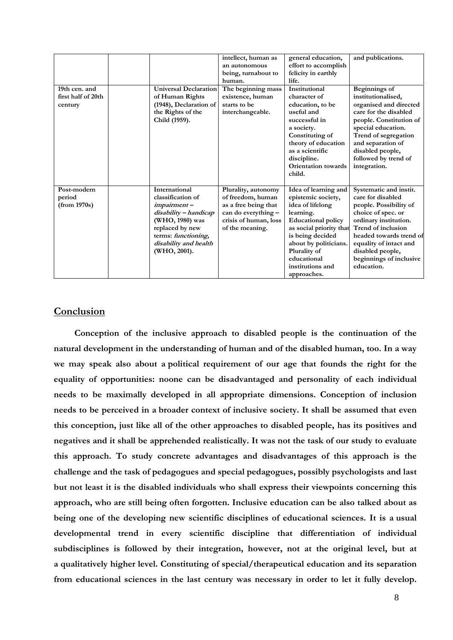|                    |                              | intellect, human as   | general education,         | and publications.         |
|--------------------|------------------------------|-----------------------|----------------------------|---------------------------|
|                    |                              | an autonomous         | effort to accomplish       |                           |
|                    |                              | being, turnabout to   | felicity in earthly        |                           |
|                    |                              |                       | life.                      |                           |
|                    |                              | human.                |                            |                           |
| 19th cen. and      | <b>Universal Declaration</b> | The beginning mass    | Institutional              | <b>Beginnings</b> of      |
| first half of 20th | of Human Rights              | existence, human      | character of               | institutionalised,        |
| century            | (1948), Declaration of       | starts to be          | education, to be           | organised and directed    |
|                    | the Rights of the            | interchangeable.      | useful and                 | care for the disabled     |
|                    | Child (1959).                |                       | successful in              | people. Constitution of   |
|                    |                              |                       | a society.                 | special education.        |
|                    |                              |                       | Constituting of            | Trend of segregation      |
|                    |                              |                       | theory of education        | and separation of         |
|                    |                              |                       | as a scientific            | disabled people,          |
|                    |                              |                       | discipline.                | followed by trend of      |
|                    |                              |                       | <b>Orientation</b> towards | integration.              |
|                    |                              |                       | child.                     |                           |
|                    |                              |                       |                            |                           |
| Post-modern        | <b>International</b>         | Plurality, autonomy   | Idea of learning and       | Systematic and instit.    |
|                    | classification of            | of freedom, human     |                            | care for disabled         |
| period             |                              |                       | epistemic society,         |                           |
| (from 1970s)       | impairment-                  | as a free being that  | idea of lifelong           | people. Possibility of    |
|                    | disability - handicap        | can do everything -   | learning.                  | choice of spec. or        |
|                    | (WHO, 1980) was              | crisis of human, loss | <b>Educational policy</b>  | ordinary institution.     |
|                    | replaced by new              | of the meaning.       | as social priority that    | <b>Trend of inclusion</b> |
|                    | terms: functioning,          |                       | is being decided           | headed towards trend of   |
|                    | disability and health        |                       | about by politicians.      | equality of intact and    |
|                    | (WHO, 2001).                 |                       | Plurality of               | disabled people,          |
|                    |                              |                       | educational                | beginnings of inclusive   |
|                    |                              |                       | institutions and           | education.                |
|                    |                              |                       | approaches.                |                           |

### **Conclusion**

**Conception of the inclusive approach to disabled people is the continuation of the natural development in the understanding of human and of the disabled human, too. In a way we may speak also about a political requirement of our age that founds the right for the equality of opportunities: noone can be disadvantaged and personality of each individual needs to be maximally developed in all appropriate dimensions. Conception of inclusion needs to be perceived in a broader context of inclusive society. It shall be assumed that even this conception, just like all of the other approaches to disabled people, has its positives and negatives and it shall be apprehended realistically. It was not the task of our study to evaluate this approach. To study concrete advantages and disadvantages of this approach is the challenge and the task of pedagogues and special pedagogues, possibly psychologists and last but not least it is the disabled individuals who shall express their viewpoints concerning this approach, who are still being often forgotten. Inclusive education can be also talked about as being one of the developing new scientific disciplines of educational sciences. It is a usual developmental trend in every scientific discipline that differentiation of individual subdisciplines is followed by their integration, however, not at the original level, but at a qualitatively higher level. Constituting of special/therapeutical education and its separation from educational sciences in the last century was necessary in order to let it fully develop.**